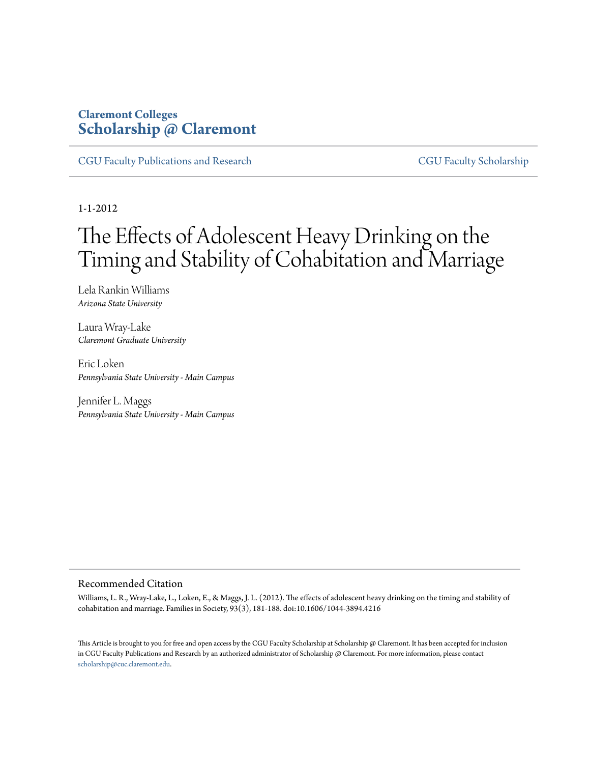## **Claremont Colleges [Scholarship @ Claremont](http://scholarship.claremont.edu)**

[CGU Faculty Publications and Research](http://scholarship.claremont.edu/cgu_fac_pub) [CGU Faculty Scholarship](http://scholarship.claremont.edu/cgu_faculty)

1-1-2012

# The Effects of Adolescent Heavy Drinking on the Timing and Stability of Cohabitation and Marriage

Lela Rankin Williams *Arizona State University*

Laura Wray-Lake *Claremont Graduate University*

Eric Loken *Pennsylvania State University - Main Campus*

Jennifer L. Maggs *Pennsylvania State University - Main Campus*

#### Recommended Citation

Williams, L. R., Wray-Lake, L., Loken, E., & Maggs, J. L. (2012). The effects of adolescent heavy drinking on the timing and stability of cohabitation and marriage. Families in Society, 93(3), 181-188. doi:10.1606/1044-3894.4216

This Article is brought to you for free and open access by the CGU Faculty Scholarship at Scholarship @ Claremont. It has been accepted for inclusion in CGU Faculty Publications and Research by an authorized administrator of Scholarship @ Claremont. For more information, please contact [scholarship@cuc.claremont.edu.](mailto:scholarship@cuc.claremont.edu)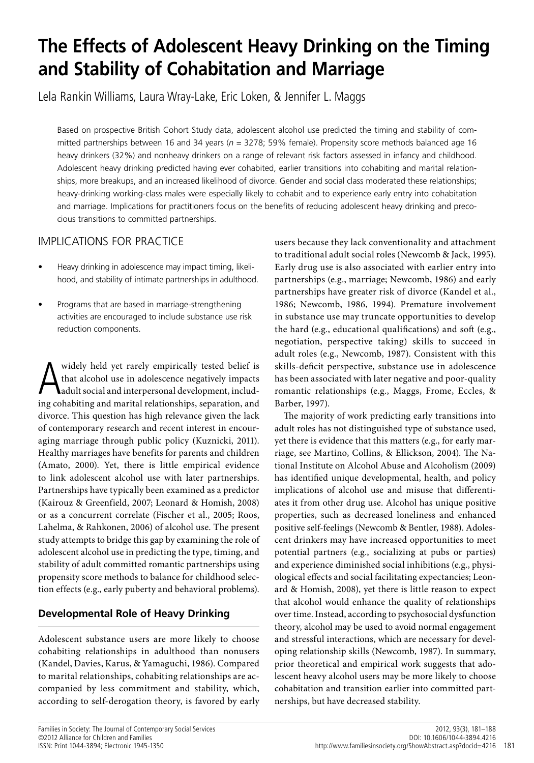## **The Effects of Adolescent Heavy Drinking on the Timing and Stability of Cohabitation and Marriage**

Lela Rankin Williams, Laura Wray-Lake, Eric Loken, & Jennifer L. Maggs

Based on prospective British Cohort Study data, adolescent alcohol use predicted the timing and stability of committed partnerships between 16 and 34 years (*n* = 3278; 59% female). Propensity score methods balanced age 16 heavy drinkers (32%) and nonheavy drinkers on a range of relevant risk factors assessed in infancy and childhood. Adolescent heavy drinking predicted having ever cohabited, earlier transitions into cohabiting and marital relationships, more breakups, and an increased likelihood of divorce. Gender and social class moderated these relationships; heavy-drinking working-class males were especially likely to cohabit and to experience early entry into cohabitation and marriage. Implications for practitioners focus on the benefits of reducing adolescent heavy drinking and precocious transitions to committed partnerships.

## Implications for Practice

- Heavy drinking in adolescence may impact timing, likelihood, and stability of intimate partnerships in adulthood.
- Programs that are based in marriage-strengthening activities are encouraged to include substance use risk reduction components.

widely held yet rarely empirically tested belief is that alcohol use in adolescence negatively impacts adult social and interpersonal development, including cohabiting and marital relationships, separation, and divorce. This question has high relevance given the lack of contemporary research and recent interest in encouraging marriage through public policy (Kuznicki, 2011). Healthy marriages have benefits for parents and children (Amato, 2000). Yet, there is little empirical evidence to link adolescent alcohol use with later partnerships. Partnerships have typically been examined as a predictor (Kairouz & Greenfield, 2007; Leonard & Homish, 2008) or as a concurrent correlate (Fischer et al., 2005; Roos, Lahelma, & Rahkonen, 2006) of alcohol use. The present study attempts to bridge this gap by examining the role of adolescent alcohol use in predicting the type, timing, and stability of adult committed romantic partnerships using propensity score methods to balance for childhood selection effects (e.g., early puberty and behavioral problems).

### **Developmental Role of Heavy Drinking**

Adolescent substance users are more likely to choose cohabiting relationships in adulthood than nonusers (Kandel, Davies, Karus, & Yamaguchi, 1986). Compared to marital relationships, cohabiting relationships are accompanied by less commitment and stability, which, according to self-derogation theory, is favored by early users because they lack conventionality and attachment to traditional adult social roles (Newcomb & Jack, 1995). Early drug use is also associated with earlier entry into partnerships (e.g., marriage; Newcomb, 1986) and early partnerships have greater risk of divorce (Kandel et al., 1986; Newcomb, 1986, 1994). Premature involvement in substance use may truncate opportunities to develop the hard (e.g., educational qualifications) and soft (e.g., negotiation, perspective taking) skills to succeed in adult roles (e.g., Newcomb, 1987). Consistent with this skills-deficit perspective, substance use in adolescence has been associated with later negative and poor-quality romantic relationships (e.g., Maggs, Frome, Eccles, & Barber, 1997).

The majority of work predicting early transitions into adult roles has not distinguished type of substance used, yet there is evidence that this matters (e.g., for early marriage, see Martino, Collins, & Ellickson, 2004). The National Institute on Alcohol Abuse and Alcoholism (2009) has identified unique developmental, health, and policy implications of alcohol use and misuse that differentiates it from other drug use. Alcohol has unique positive properties, such as decreased loneliness and enhanced positive self-feelings (Newcomb & Bentler, 1988). Adolescent drinkers may have increased opportunities to meet potential partners (e.g., socializing at pubs or parties) and experience diminished social inhibitions (e.g., physiological effects and social facilitating expectancies; Leonard & Homish, 2008), yet there is little reason to expect that alcohol would enhance the quality of relationships over time. Instead, according to psychosocial dysfunction theory, alcohol may be used to avoid normal engagement and stressful interactions, which are necessary for developing relationship skills (Newcomb, 1987). In summary, prior theoretical and empirical work suggests that adolescent heavy alcohol users may be more likely to choose cohabitation and transition earlier into committed partnerships, but have decreased stability.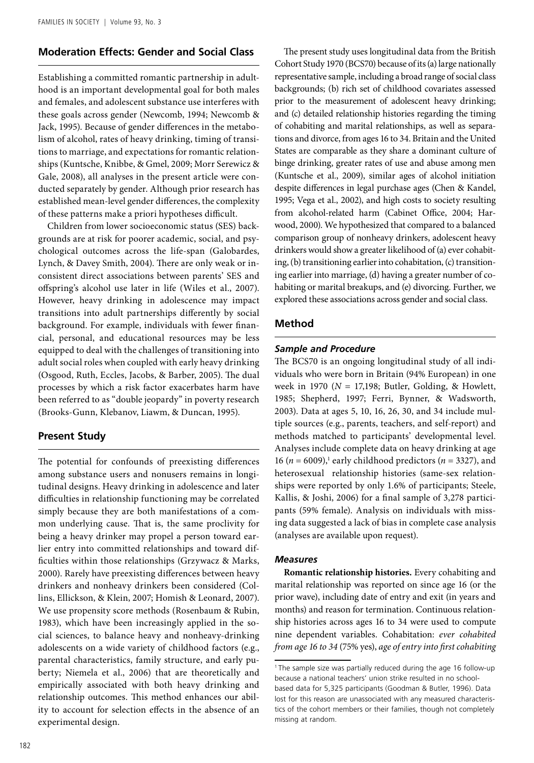#### **Moderation Effects: Gender and Social Class**

Establishing a committed romantic partnership in adulthood is an important developmental goal for both males and females, and adolescent substance use interferes with these goals across gender (Newcomb, 1994; Newcomb & Jack, 1995). Because of gender differences in the metabolism of alcohol, rates of heavy drinking, timing of transitions to marriage, and expectations for romantic relationships (Kuntsche, Knibbe, & Gmel, 2009; Morr Serewicz & Gale, 2008), all analyses in the present article were conducted separately by gender. Although prior research has established mean-level gender differences, the complexity of these patterns make a priori hypotheses difficult.

Children from lower socioeconomic status (SES) backgrounds are at risk for poorer academic, social, and psychological outcomes across the life-span (Galobardes, Lynch, & Davey Smith, 2004). There are only weak or inconsistent direct associations between parents' SES and offspring's alcohol use later in life (Wiles et al., 2007). However, heavy drinking in adolescence may impact transitions into adult partnerships differently by social background. For example, individuals with fewer financial, personal, and educational resources may be less equipped to deal with the challenges of transitioning into adult social roles when coupled with early heavy drinking (Osgood, Ruth, Eccles, Jacobs, & Barber, 2005). The dual processes by which a risk factor exacerbates harm have been referred to as "double jeopardy" in poverty research (Brooks-Gunn, Klebanov, Liawm, & Duncan, 1995).

#### **Present Study**

The potential for confounds of preexisting differences among substance users and nonusers remains in longitudinal designs. Heavy drinking in adolescence and later difficulties in relationship functioning may be correlated simply because they are both manifestations of a common underlying cause. That is, the same proclivity for being a heavy drinker may propel a person toward earlier entry into committed relationships and toward difficulties within those relationships (Grzywacz & Marks, 2000). Rarely have preexisting differences between heavy drinkers and nonheavy drinkers been considered (Collins, Ellickson, & Klein, 2007; Homish & Leonard, 2007). We use propensity score methods (Rosenbaum & Rubin, 1983), which have been increasingly applied in the social sciences, to balance heavy and nonheavy-drinking adolescents on a wide variety of childhood factors (e.g., parental characteristics, family structure, and early puberty; Niemela et al., 2006) that are theoretically and empirically associated with both heavy drinking and relationship outcomes. This method enhances our ability to account for selection effects in the absence of an experimental design.

The present study uses longitudinal data from the British Cohort Study 1970 (BCS70) because of its (a) large nationally representative sample, including a broad range of social class backgrounds; (b) rich set of childhood covariates assessed prior to the measurement of adolescent heavy drinking; and (c) detailed relationship histories regarding the timing of cohabiting and marital relationships, as well as separations and divorce, from ages 16 to 34. Britain and the United States are comparable as they share a dominant culture of binge drinking, greater rates of use and abuse among men (Kuntsche et al., 2009), similar ages of alcohol initiation despite differences in legal purchase ages (Chen & Kandel, 1995; Vega et al., 2002), and high costs to society resulting from alcohol-related harm (Cabinet Office, 2004; Harwood, 2000). We hypothesized that compared to a balanced comparison group of nonheavy drinkers, adolescent heavy drinkers would show a greater likelihood of (a) ever cohabiting, (b) transitioning earlier into cohabitation, (c) transitioning earlier into marriage, (d) having a greater number of cohabiting or marital breakups, and (e) divorcing. Further, we explored these associations across gender and social class.

#### **Method**

#### *Sample and Procedure*

The BCS70 is an ongoing longitudinal study of all individuals who were born in Britain (94% European) in one week in 1970 (*N* = 17,198; Butler, Golding, & Howlett, 1985; Shepherd, 1997; Ferri, Bynner, & Wadsworth, 2003). Data at ages 5, 10, 16, 26, 30, and 34 include multiple sources (e.g., parents, teachers, and self-report) and methods matched to participants' developmental level. Analyses include complete data on heavy drinking at age 16 ( $n = 6009$ ),<sup>1</sup> early childhood predictors ( $n = 3327$ ), and heterosexual relationship histories (same-sex relationships were reported by only 1.6% of participants; Steele, Kallis, & Joshi, 2006) for a final sample of 3,278 participants (59% female). Analysis on individuals with missing data suggested a lack of bias in complete case analysis (analyses are available upon request).

#### *Measures*

**Romantic relationship histories.** Every cohabiting and marital relationship was reported on since age 16 (or the prior wave), including date of entry and exit (in years and months) and reason for termination. Continuous relationship histories across ages 16 to 34 were used to compute nine dependent variables. Cohabitation: *ever cohabited from age 16 to 34* (75% yes), *age of entry into first cohabiting* 

<sup>&</sup>lt;sup>1</sup> The sample size was partially reduced during the age 16 follow-up because a national teachers' union strike resulted in no schoolbased data for 5,325 participants (Goodman & Butler, 1996). Data lost for this reason are unassociated with any measured characteristics of the cohort members or their families, though not completely missing at random.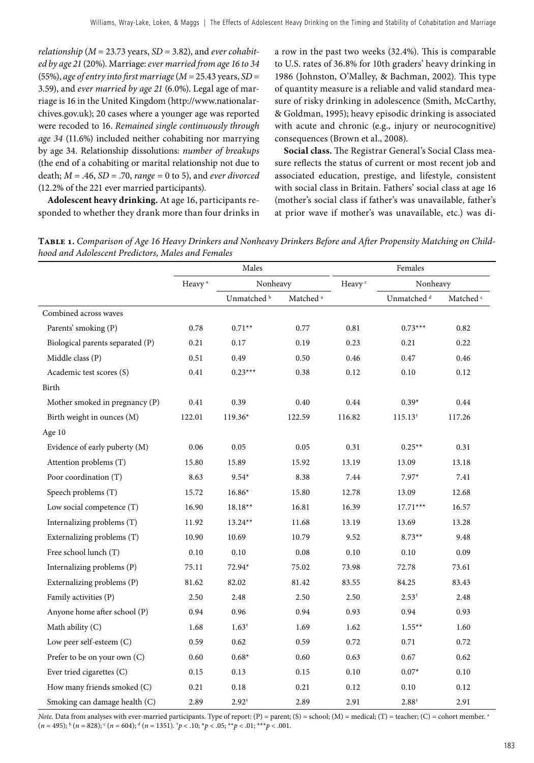*relationship* (*M* = 23.73 years, *SD* = 3.82), and *ever cohabited by age 21* (20%). Marriage: *ever married from age 16 to 34* (55%), *age of entry into first marriage* (*M* = 25.43 years, *SD* = 3.59), and *ever married by age 21* (6.0%). Legal age of marriage is 16 in the United Kingdom [\(http://www.nationalar](http://www.nationalarchives.gov.uk)[chives.gov.uk\)](http://www.nationalarchives.gov.uk); 20 cases where a younger age was reported were recoded to 16. *Remained single continuously through age 34* (11.6%) included neither cohabiting nor marrying by age 34. Relationship dissolutions: *number of breakups* (the end of a cohabiting or marital relationship not due to death; *M* = .46, *SD* = .70, *range =* 0 to 5), and *ever divorced* (12.2% of the 221 ever married participants).

**Adolescent heavy drinking.** At age 16, participants responded to whether they drank more than four drinks in a row in the past two weeks (32.4%). This is comparable to U.S. rates of 36.8% for 10th graders' heavy drinking in 1986 (Johnston, O'Malley, & Bachman, 2002). This type of quantity measure is a reliable and valid standard measure of risky drinking in adolescence (Smith, McCarthy, & Goldman, 1995); heavy episodic drinking is associated with acute and chronic (e.g., injury or neurocognitive) consequences (Brown et al., 2008).

**Social class.** The Registrar General's Social Class measure reflects the status of current or most recent job and associated education, prestige, and lifestyle, consistent with social class in Britain. Fathers' social class at age 16 (mother's social class if father's was unavailable, father's at prior wave if mother's was unavailable, etc.) was di-

**Table 1.** *Comparison of Age 16 Heavy Drinkers and Nonheavy Drinkers Before and After Propensity Matching on Childhood and Adolescent Predictors, Males and Females*

|                                  |                    | Males            |                      | Females            |                        |           |  |  |
|----------------------------------|--------------------|------------------|----------------------|--------------------|------------------------|-----------|--|--|
|                                  | Heavy <sup>a</sup> | Nonheavy         |                      | Heavy <sup>c</sup> | Nonheavy               |           |  |  |
|                                  |                    | Unmatched b      | Matched <sup>a</sup> |                    | Unmatched <sup>d</sup> | Matched c |  |  |
| Combined across waves            |                    |                  |                      |                    |                        |           |  |  |
| Parents' smoking (P)             | 0.78               | $0.71**$         | 0.77                 | 0.81               | $0.73***$              | 0.82      |  |  |
| Biological parents separated (P) | 0.21               | 0.17             | 0.19                 | 0.23               | 0.21                   | 0.22      |  |  |
| Middle class (P)                 | 0.51               | 0.49             | 0.50                 | 0.46               | 0.47                   | 0.46      |  |  |
| Academic test scores (S)         | 0.41               | $0.23***$        | 0.38                 | 0.12               | 0.10                   | 0.12      |  |  |
| Birth                            |                    |                  |                      |                    |                        |           |  |  |
| Mother smoked in pregnancy (P)   | 0.41               | 0.39             | 0.40                 | 0.44               | $0.39*$                | 0.44      |  |  |
| Birth weight in ounces (M)       | 122.01             | $119.36*$        | 122.59               | 116.82             | $115.13^+$             | 117.26    |  |  |
| Age 10                           |                    |                  |                      |                    |                        |           |  |  |
| Evidence of early puberty (M)    | 0.06               | 0.05             | 0.05                 | 0.31               | $0.25**$               | 0.31      |  |  |
| Attention problems (T)           | 15.80              | 15.89            | 15.92                | 13.19              | 13.09                  | 13.18     |  |  |
| Poor coordination (T)            | 8.63               | $9.54*$          | 8.38                 | 7.44               | $7.97*$                | 7.41      |  |  |
| Speech problems (T)              | 15.72              | $16.86*$         | 15.80                | 12.78              | 13.09                  | 12.68     |  |  |
| Low social competence (T)        | 16.90              | $18.18**$        | 16.81                | 16.39              | $17.71***$             | 16.57     |  |  |
| Internalizing problems (T)       | 11.92              | $13.24**$        | 11.68                | 13.19              | 13.69                  | 13.28     |  |  |
| Externalizing problems (T)       | 10.90              | 10.69            | 10.79                | 9.52               | $8.73**$               | 9.48      |  |  |
| Free school lunch (T)            | 0.10               | 0.10             | 0.08                 | 0.10               | 0.10                   | 0.09      |  |  |
| Internalizing problems (P)       | 75.11              | 72.94*           | 75.02                | 73.98              | 72.78                  | 73.61     |  |  |
| Externalizing problems (P)       | 81.62              | 82.02            | 81.42                | 83.55              | 84.25                  | 83.43     |  |  |
| Family activities (P)            | 2.50               | 2.48             | 2.50                 | 2.50               | $2.53^+$               | 2.48      |  |  |
| Anyone home after school (P)     | 0.94               | 0.96             | 0.94                 | 0.93               | 0.94                   | 0.93      |  |  |
| Math ability (C)                 | 1.68               | $1.63^{\dagger}$ | 1.69                 | 1.62               | $1.55***$              | 1.60      |  |  |
| Low peer self-esteem (C)         | 0.59               | 0.62             | 0.59                 | 0.72               | 0.71                   | 0.72      |  |  |
| Prefer to be on your own (C)     | 0.60               | $0.68*$          | 0.60                 | 0.63               | 0.67                   | 0.62      |  |  |
| Ever tried cigarettes (C)        | 0.15               | 0.13             | 0.15                 | 0.10               | $0.07*$                | 0.10      |  |  |
| How many friends smoked (C)      | 0.21               | 0.18             | 0.21                 | 0.12               | 0.10                   | 0.12      |  |  |
| Smoking can damage health (C)    | 2.89               | $2.92^+$         | 2.89                 | 2.91               | $2.88^+$               | 2.91      |  |  |

*Note.* Data from analyses with ever-married participants. Type of report: (P) = parent; (S) = school; (M) = medical; (T) = teacher; (C) = cohort member. a  $(n = 495)$ ;  $\frac{1}{2}$  ( $n = 828$ );  $\frac{1}{2}$  ( $n = 604$ );  $\frac{1}{2}$  ( $n = 1351$ ).  $\frac{1}{2}p < 0.10$ ;  $\frac{k}{2}p < 0.01$ ;  $\frac{k}{2}p < 0.01$ .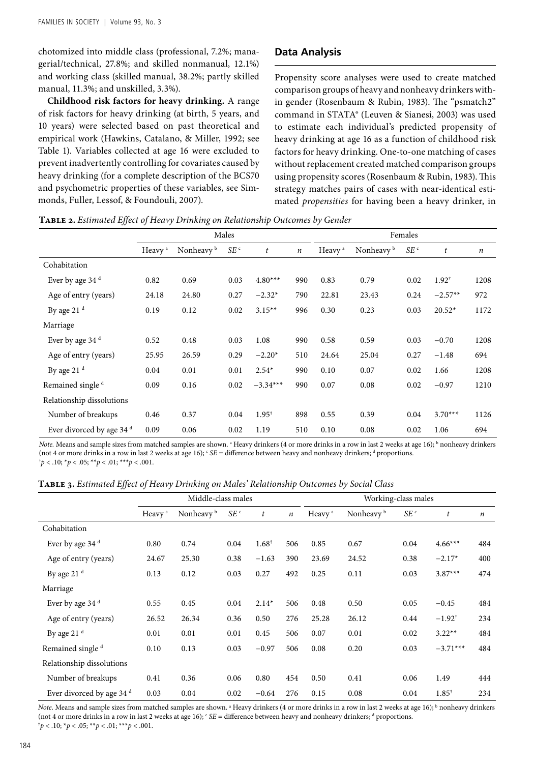chotomized into middle class (professional, 7.2%; managerial/technical, 27.8%; and skilled nonmanual, 12.1%) and working class (skilled manual, 38.2%; partly skilled manual, 11.3%; and unskilled, 3.3%).

**Childhood risk factors for heavy drinking.** A range of risk factors for heavy drinking (at birth, 5 years, and 10 years) were selected based on past theoretical and empirical work (Hawkins, Catalano, & Miller, 1992; see Table 1). Variables collected at age 16 were excluded to prevent inadvertently controlling for covariates caused by heavy drinking (for a complete description of the BCS70 and psychometric properties of these variables, see Simmonds, Fuller, Lessof, & Foundouli, 2007).

#### **Data Analysis**

Propensity score analyses were used to create matched comparison groups of heavy and nonheavy drinkers within gender (Rosenbaum & Rubin, 1983). The "psmatch2" command in STATA® (Leuven & Sianesi, 2003) was used to estimate each individual's predicted propensity of heavy drinking at age 16 as a function of childhood risk factors for heavy drinking. One-to-one matching of cases without replacement created matched comparison groups using propensity scores (Rosenbaum & Rubin, 1983). This strategy matches pairs of cases with near-identical estimated *propensities* for having been a heavy drinker, in

**Table 2.** *Estimated Effect of Heavy Drinking on Relationship Outcomes by Gender*

|                                      | Males              |                       |                 |                  | Females          |                    |                       |                 |           |                  |
|--------------------------------------|--------------------|-----------------------|-----------------|------------------|------------------|--------------------|-----------------------|-----------------|-----------|------------------|
|                                      | Heavy <sup>a</sup> | Nonheavy <sup>b</sup> | SE <sup>c</sup> | t                | $\boldsymbol{n}$ | Heavy <sup>a</sup> | Nonheavy <sup>b</sup> | SE <sup>c</sup> | t         | $\boldsymbol{n}$ |
| Cohabitation                         |                    |                       |                 |                  |                  |                    |                       |                 |           |                  |
| Ever by age 34 $d$                   | 0.82               | 0.69                  | 0.03            | $4.80***$        | 990              | 0.83               | 0.79                  | 0.02            | $1.92^+$  | 1208             |
| Age of entry (years)                 | 24.18              | 24.80                 | 0.27            | $-2.32*$         | 790              | 22.81              | 23.43                 | 0.24            | $-2.57**$ | 972              |
| By age 21 $d$                        | 0.19               | 0.12                  | 0.02            | $3.15***$        | 996              | 0.30               | 0.23                  | 0.03            | $20.52*$  | 1172             |
| Marriage                             |                    |                       |                 |                  |                  |                    |                       |                 |           |                  |
| Ever by age 34 $d$                   | 0.52               | 0.48                  | 0.03            | 1.08             | 990              | 0.58               | 0.59                  | 0.03            | $-0.70$   | 1208             |
| Age of entry (years)                 | 25.95              | 26.59                 | 0.29            | $-2.20*$         | 510              | 24.64              | 25.04                 | 0.27            | $-1.48$   | 694              |
| By age 21 $d$                        | 0.04               | 0.01                  | 0.01            | $2.54*$          | 990              | 0.10               | 0.07                  | 0.02            | 1.66      | 1208             |
| Remained single <sup>d</sup>         | 0.09               | 0.16                  | 0.02            | $-3.34***$       | 990              | 0.07               | 0.08                  | 0.02            | $-0.97$   | 1210             |
| Relationship dissolutions            |                    |                       |                 |                  |                  |                    |                       |                 |           |                  |
| Number of breakups                   | 0.46               | 0.37                  | 0.04            | $1.95^{\dagger}$ | 898              | 0.55               | 0.39                  | 0.04            | $3.70***$ | 1126             |
| Ever divorced by age 34 <sup>d</sup> | 0.09               | 0.06                  | 0.02            | 1.19             | 510              | 0.10               | 0.08                  | 0.02            | 1.06      | 694              |

Note. Means and sample sizes from matched samples are shown. <sup>a</sup> Heavy drinkers (4 or more drinks in a row in last 2 weeks at age 16); <sup>b</sup> nonheavy drinkers (not 4 or more drinks in a row in last 2 weeks at age 16); CE = difference between heavy and nonheavy drinkers; <sup>d</sup> proportions. † *p* < .10; \**p* < .05; \*\**p* < .01; \*\*\**p* < .001.

**Table 3.** *Estimated Effect of Heavy Drinking on Males' Relationship Outcomes by Social Class*

|                                      | Middle-class males |                       |                 |                  | Working-class males |                    |                       |                 |                   |                  |
|--------------------------------------|--------------------|-----------------------|-----------------|------------------|---------------------|--------------------|-----------------------|-----------------|-------------------|------------------|
|                                      | Heavy <sup>a</sup> | Nonheavy <sup>b</sup> | SE <sup>c</sup> | t                | $\boldsymbol{n}$    | Heavy <sup>a</sup> | Nonheavy <sup>b</sup> | SE <sup>c</sup> | $\mathfrak{t}$    | $\boldsymbol{n}$ |
| Cohabitation                         |                    |                       |                 |                  |                     |                    |                       |                 |                   |                  |
| Ever by age 34 $d$                   | 0.80               | 0.74                  | 0.04            | $1.68^{\dagger}$ | 506                 | 0.85               | 0.67                  | 0.04            | $4.66***$         | 484              |
| Age of entry (years)                 | 24.67              | 25.30                 | 0.38            | $-1.63$          | 390                 | 23.69              | 24.52                 | 0.38            | $-2.17*$          | 400              |
| By age 21 $d$                        | 0.13               | 0.12                  | 0.03            | 0.27             | 492                 | 0.25               | 0.11                  | 0.03            | $3.87***$         | 474              |
| Marriage                             |                    |                       |                 |                  |                     |                    |                       |                 |                   |                  |
| Ever by age 34 <sup>d</sup>          | 0.55               | 0.45                  | 0.04            | $2.14*$          | 506                 | 0.48               | 0.50                  | 0.05            | $-0.45$           | 484              |
| Age of entry (years)                 | 26.52              | 26.34                 | 0.36            | 0.50             | 276                 | 25.28              | 26.12                 | 0.44            | $-1.92^{\dagger}$ | 234              |
| By age 21 $d$                        | 0.01               | 0.01                  | 0.01            | 0.45             | 506                 | 0.07               | 0.01                  | 0.02            | $3.22**$          | 484              |
| Remained single <sup>d</sup>         | 0.10               | 0.13                  | 0.03            | $-0.97$          | 506                 | 0.08               | 0.20                  | 0.03            | $-3.71***$        | 484              |
| Relationship dissolutions            |                    |                       |                 |                  |                     |                    |                       |                 |                   |                  |
| Number of breakups                   | 0.41               | 0.36                  | 0.06            | 0.80             | 454                 | 0.50               | 0.41                  | 0.06            | 1.49              | 444              |
| Ever divorced by age 34 <sup>d</sup> | 0.03               | 0.04                  | 0.02            | $-0.64$          | 276                 | 0.15               | 0.08                  | 0.04            | $1.85^+$          | 234              |

Note. Means and sample sizes from matched samples are shown. <sup>a</sup> Heavy drinkers (4 or more drinks in a row in last 2 weeks at age 16); <sup>b</sup> nonheavy drinkers (not 4 or more drinks in a row in last 2 weeks at age 16);  $\cdot$  *SE* = difference between heavy and nonheavy drinkers; <sup>a</sup> proportions. † *p* < .10; \**p* < .05; \*\**p* < .01; \*\*\**p* < .001.

184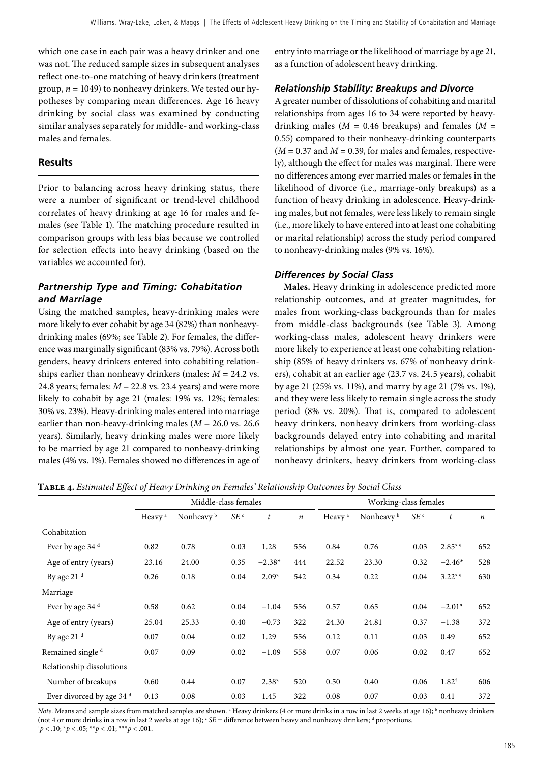which one case in each pair was a heavy drinker and one was not. The reduced sample sizes in subsequent analyses reflect one-to-one matching of heavy drinkers (treatment group,  $n = 1049$ ) to nonheavy drinkers. We tested our hypotheses by comparing mean differences. Age 16 heavy drinking by social class was examined by conducting similar analyses separately for middle- and working-class males and females.

#### **Results**

Prior to balancing across heavy drinking status, there were a number of significant or trend-level childhood correlates of heavy drinking at age 16 for males and females (see Table 1). The matching procedure resulted in comparison groups with less bias because we controlled for selection effects into heavy drinking (based on the variables we accounted for).

#### *Partnership Type and Timing: Cohabitation and Marriage*

Using the matched samples, heavy-drinking males were more likely to ever cohabit by age 34 (82%) than nonheavydrinking males (69%; see Table 2). For females, the difference was marginally significant (83% vs. 79%). Across both genders, heavy drinkers entered into cohabiting relationships earlier than nonheavy drinkers (males:  $M = 24.2$  vs. 24.8 years; females:  $M = 22.8$  vs. 23.4 years) and were more likely to cohabit by age 21 (males: 19% vs. 12%; females: 30% vs. 23%). Heavy-drinking males entered into marriage earlier than non-heavy-drinking males (*M* = 26.0 vs. 26.6 years). Similarly, heavy drinking males were more likely to be married by age 21 compared to nonheavy-drinking males (4% vs. 1%). Females showed no differences in age of entry into marriage or the likelihood of marriage by age 21, as a function of adolescent heavy drinking.

#### *Relationship Stability: Breakups and Divorce*

A greater number of dissolutions of cohabiting and marital relationships from ages 16 to 34 were reported by heavydrinking males ( $M = 0.46$  breakups) and females ( $M =$ 0.55) compared to their nonheavy-drinking counterparts  $(M = 0.37$  and  $M = 0.39$ , for males and females, respectively), although the effect for males was marginal. There were no differences among ever married males or females in the likelihood of divorce (i.e., marriage-only breakups) as a function of heavy drinking in adolescence. Heavy-drinking males, but not females, were less likely to remain single (i.e., more likely to have entered into at least one cohabiting or marital relationship) across the study period compared to nonheavy-drinking males (9% vs. 16%).

#### *Differences by Social Class*

**Males.** Heavy drinking in adolescence predicted more relationship outcomes, and at greater magnitudes, for males from working-class backgrounds than for males from middle-class backgrounds (see Table 3). Among working-class males, adolescent heavy drinkers were more likely to experience at least one cohabiting relationship (85% of heavy drinkers vs. 67% of nonheavy drinkers), cohabit at an earlier age (23.7 vs. 24.5 years), cohabit by age 21 (25% vs. 11%), and marry by age 21 (7% vs. 1%), and they were less likely to remain single across the study period (8% vs. 20%). That is, compared to adolescent heavy drinkers, nonheavy drinkers from working-class backgrounds delayed entry into cohabiting and marital relationships by almost one year. Further, compared to nonheavy drinkers, heavy drinkers from working-class

**Table 4.** *Estimated Effect of Heavy Drinking on Females' Relationship Outcomes by Social Class* 

|                                      | Middle-class females |                       |                 |          | Working-class females |                    |                       |                 |                  |                  |
|--------------------------------------|----------------------|-----------------------|-----------------|----------|-----------------------|--------------------|-----------------------|-----------------|------------------|------------------|
|                                      | Heavy <sup>a</sup>   | Nonheavy <sup>b</sup> | SE <sup>c</sup> | t        | $\boldsymbol{n}$      | Heavy <sup>a</sup> | Nonheavy <sup>b</sup> | SE <sup>c</sup> | t                | $\boldsymbol{n}$ |
| Cohabitation                         |                      |                       |                 |          |                       |                    |                       |                 |                  |                  |
| Ever by age 34 $d$                   | 0.82                 | 0.78                  | 0.03            | 1.28     | 556                   | 0.84               | 0.76                  | 0.03            | $2.85**$         | 652              |
| Age of entry (years)                 | 23.16                | 24.00                 | 0.35            | $-2.38*$ | 444                   | 22.52              | 23.30                 | 0.32            | $-2.46*$         | 528              |
| By age 21 $d$                        | 0.26                 | 0.18                  | 0.04            | $2.09*$  | 542                   | 0.34               | 0.22                  | 0.04            | $3.22**$         | 630              |
| Marriage                             |                      |                       |                 |          |                       |                    |                       |                 |                  |                  |
| Ever by age 34 $d$                   | 0.58                 | 0.62                  | 0.04            | $-1.04$  | 556                   | 0.57               | 0.65                  | 0.04            | $-2.01*$         | 652              |
| Age of entry (years)                 | 25.04                | 25.33                 | 0.40            | $-0.73$  | 322                   | 24.30              | 24.81                 | 0.37            | $-1.38$          | 372              |
| By age 21 $d$                        | 0.07                 | 0.04                  | 0.02            | 1.29     | 556                   | 0.12               | 0.11                  | 0.03            | 0.49             | 652              |
| Remained single <sup>d</sup>         | 0.07                 | 0.09                  | 0.02            | $-1.09$  | 558                   | 0.07               | 0.06                  | 0.02            | 0.47             | 652              |
| Relationship dissolutions            |                      |                       |                 |          |                       |                    |                       |                 |                  |                  |
| Number of breakups                   | 0.60                 | 0.44                  | 0.07            | $2.38*$  | 520                   | 0.50               | 0.40                  | 0.06            | $1.82^{\dagger}$ | 606              |
| Ever divorced by age 34 <sup>d</sup> | 0.13                 | 0.08                  | 0.03            | 1.45     | 322                   | 0.08               | 0.07                  | 0.03            | 0.41             | 372              |

*Note.* Means and sample sizes from matched samples are shown. <sup>a</sup> Heavy drinkers (4 or more drinks in a row in last 2 weeks at age 16); <sup>b</sup> nonheavy drinkers (not 4 or more drinks in a row in last 2 weeks at age 16);  $\cdot$  *SE* = difference between heavy and nonheavy drinkers; <sup>d</sup> proportions. † *p* < .10; \**p* < .05; \*\**p* < .01; \*\*\**p* < .001.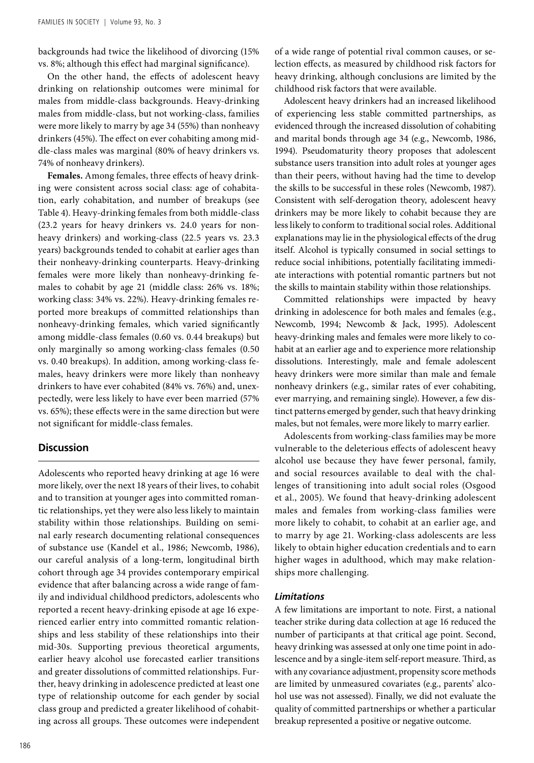backgrounds had twice the likelihood of divorcing (15% vs. 8%; although this effect had marginal significance).

On the other hand, the effects of adolescent heavy drinking on relationship outcomes were minimal for males from middle-class backgrounds. Heavy-drinking males from middle-class, but not working-class, families were more likely to marry by age 34 (55%) than nonheavy drinkers (45%). The effect on ever cohabiting among middle-class males was marginal (80% of heavy drinkers vs. 74% of nonheavy drinkers).

**Females.** Among females, three effects of heavy drinking were consistent across social class: age of cohabitation, early cohabitation, and number of breakups (see Table 4). Heavy-drinking females from both middle-class (23.2 years for heavy drinkers vs. 24.0 years for nonheavy drinkers) and working-class (22.5 years vs. 23.3 years) backgrounds tended to cohabit at earlier ages than their nonheavy-drinking counterparts. Heavy-drinking females were more likely than nonheavy-drinking females to cohabit by age 21 (middle class: 26% vs. 18%; working class: 34% vs. 22%). Heavy-drinking females reported more breakups of committed relationships than nonheavy-drinking females, which varied significantly among middle-class females (0.60 vs. 0.44 breakups) but only marginally so among working-class females (0.50 vs. 0.40 breakups). In addition, among working-class females, heavy drinkers were more likely than nonheavy drinkers to have ever cohabited (84% vs. 76%) and, unexpectedly, were less likely to have ever been married (57% vs. 65%); these effects were in the same direction but were not significant for middle-class females.

#### **Discussion**

Adolescents who reported heavy drinking at age 16 were more likely, over the next 18 years of their lives, to cohabit and to transition at younger ages into committed romantic relationships, yet they were also less likely to maintain stability within those relationships. Building on seminal early research documenting relational consequences of substance use (Kandel et al., 1986; Newcomb, 1986), our careful analysis of a long-term, longitudinal birth cohort through age 34 provides contemporary empirical evidence that after balancing across a wide range of family and individual childhood predictors, adolescents who reported a recent heavy-drinking episode at age 16 experienced earlier entry into committed romantic relationships and less stability of these relationships into their mid-30s. Supporting previous theoretical arguments, earlier heavy alcohol use forecasted earlier transitions and greater dissolutions of committed relationships. Further, heavy drinking in adolescence predicted at least one type of relationship outcome for each gender by social class group and predicted a greater likelihood of cohabiting across all groups. These outcomes were independent of a wide range of potential rival common causes, or selection effects, as measured by childhood risk factors for heavy drinking, although conclusions are limited by the childhood risk factors that were available.

Adolescent heavy drinkers had an increased likelihood of experiencing less stable committed partnerships, as evidenced through the increased dissolution of cohabiting and marital bonds through age 34 (e.g., Newcomb, 1986, 1994). Pseudomaturity theory proposes that adolescent substance users transition into adult roles at younger ages than their peers, without having had the time to develop the skills to be successful in these roles (Newcomb, 1987). Consistent with self-derogation theory, adolescent heavy drinkers may be more likely to cohabit because they are less likely to conform to traditional social roles. Additional explanations may lie in the physiological effects of the drug itself. Alcohol is typically consumed in social settings to reduce social inhibitions, potentially facilitating immediate interactions with potential romantic partners but not the skills to maintain stability within those relationships.

Committed relationships were impacted by heavy drinking in adolescence for both males and females (e.g., Newcomb, 1994; Newcomb & Jack, 1995). Adolescent heavy-drinking males and females were more likely to cohabit at an earlier age and to experience more relationship dissolutions. Interestingly, male and female adolescent heavy drinkers were more similar than male and female nonheavy drinkers (e.g., similar rates of ever cohabiting, ever marrying, and remaining single). However, a few distinct patterns emerged by gender, such that heavy drinking males, but not females, were more likely to marry earlier.

Adolescents from working-class families may be more vulnerable to the deleterious effects of adolescent heavy alcohol use because they have fewer personal, family, and social resources available to deal with the challenges of transitioning into adult social roles (Osgood et al., 2005). We found that heavy-drinking adolescent males and females from working-class families were more likely to cohabit, to cohabit at an earlier age, and to marry by age 21. Working-class adolescents are less likely to obtain higher education credentials and to earn higher wages in adulthood, which may make relationships more challenging.

#### *Limitations*

A few limitations are important to note. First, a national teacher strike during data collection at age 16 reduced the number of participants at that critical age point. Second, heavy drinking was assessed at only one time point in adolescence and by a single-item self-report measure. Third, as with any covariance adjustment, propensity score methods are limited by unmeasured covariates (e.g., parents' alcohol use was not assessed). Finally, we did not evaluate the quality of committed partnerships or whether a particular breakup represented a positive or negative outcome.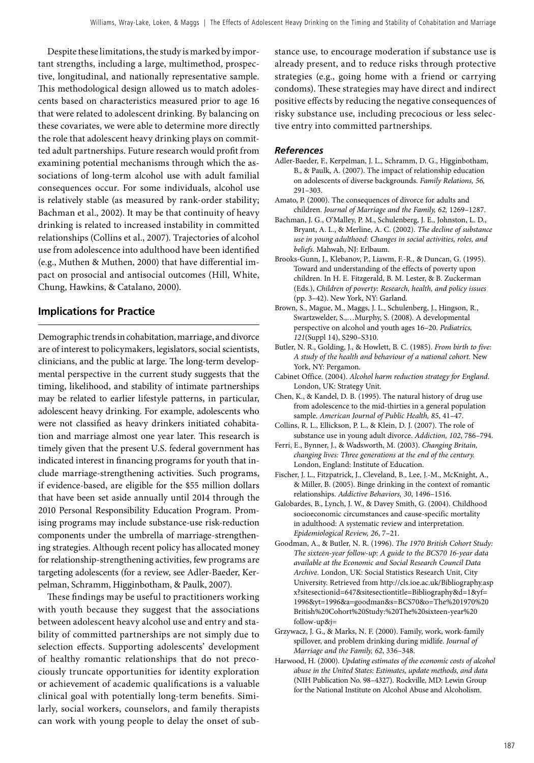Despite these limitations, the study is marked by important strengths, including a large, multimethod, prospective, longitudinal, and nationally representative sample. This methodological design allowed us to match adolescents based on characteristics measured prior to age 16 that were related to adolescent drinking. By balancing on these covariates, we were able to determine more directly the role that adolescent heavy drinking plays on committed adult partnerships. Future research would profit from examining potential mechanisms through which the associations of long-term alcohol use with adult familial consequences occur. For some individuals, alcohol use is relatively stable (as measured by rank-order stability; Bachman et al., 2002). It may be that continuity of heavy drinking is related to increased instability in committed relationships (Collins et al., 2007). Trajectories of alcohol use from adolescence into adulthood have been identified (e.g., Muthen & Muthen, 2000) that have differential impact on prosocial and antisocial outcomes (Hill, White, Chung, Hawkins, & Catalano, 2000).

#### **Implications for Practice**

Demographic trends in cohabitation, marriage, and divorce are of interest to policymakers, legislators, social scientists, clinicians, and the public at large. The long-term developmental perspective in the current study suggests that the timing, likelihood, and stability of intimate partnerships may be related to earlier lifestyle patterns, in particular, adolescent heavy drinking. For example, adolescents who were not classified as heavy drinkers initiated cohabitation and marriage almost one year later. This research is timely given that the present U.S. federal government has indicated interest in financing programs for youth that include marriage-strengthening activities. Such programs, if evidence-based, are eligible for the \$55 million dollars that have been set aside annually until 2014 through the 2010 Personal Responsibility Education Program. Promising programs may include substance-use risk-reduction components under the umbrella of marriage-strengthening strategies. Although recent policy has allocated money for relationship-strengthening activities, few programs are targeting adolescents (for a review, see Adler-Baeder, Kerpelman, Schramm, Higginbotham, & Paulk, 2007).

These findings may be useful to practitioners working with youth because they suggest that the associations between adolescent heavy alcohol use and entry and stability of committed partnerships are not simply due to selection effects. Supporting adolescents' development of healthy romantic relationships that do not precociously truncate opportunities for identity exploration or achievement of academic qualifications is a valuable clinical goal with potentially long-term benefits. Similarly, social workers, counselors, and family therapists can work with young people to delay the onset of substance use, to encourage moderation if substance use is already present, and to reduce risks through protective strategies (e.g., going home with a friend or carrying condoms). These strategies may have direct and indirect positive effects by reducing the negative consequences of risky substance use, including precocious or less selective entry into committed partnerships.

#### *References*

- Adler-Baeder, F., Kerpelman, J. L., Schramm, D. G., Higginbotham, B., & Paulk, A. (2007). The impact of relationship education on adolescents of diverse backgrounds. *Family Relations, 56,* 291–303.
- Amato, P. (2000). The consequences of divorce for adults and children. *Journal of Marriage and the Family, 62,* 1269–1287.
- Bachman, J. G., O'Malley, P. M., Schulenberg, J. E., Johnston, L. D., Bryant, A. L., & Merline, A. C. (2002). *The decline of substance use in young adulthood: Changes in social activities, roles, and beliefs*. Mahwah, NJ: Erlbaum.
- Brooks-Gunn, J., Klebanov, P., Liawm, F.-R., & Duncan, G. (1995). Toward and understanding of the effects of poverty upon children. In H. E. Fitzgerald, B. M. Lester, & B. Zuckerman (Eds.), *Children of poverty: Research, health, and policy issues* (pp. 3–42). New York, NY: Garland.
- Brown, S., Mague, M., Maggs, J. L., Schulenberg, J., Hingson, R., Swartzwelder, S.,…Murphy, S. (2008). A developmental perspective on alcohol and youth ages 16–20. *Pediatrics, 121*(Suppl 14), S290–S310.
- Butler, N. R., Golding, J., & Howlett, B. C. (1985). *From birth to five: A study of the health and behaviour of a national cohort.* New York, NY: Pergamon.
- Cabinet Office. (2004). *Alcohol harm reduction strategy for England*. London, UK: Strategy Unit.
- Chen, K., & Kandel, D. B. (1995). The natural history of drug use from adolescence to the mid-thirties in a general population sample. *American Journal of Public Health, 85*, 41–47.
- Collins, R. L., Ellickson, P. L., & Klein, D. J. (2007). The role of substance use in young adult divorce. *Addiction, 102*, 786–794.
- Ferri, E., Bynner, J., & Wadsworth, M. (2003). *Changing Britain, changing lives: Three generations at the end of the century.*  London, England: Institute of Education.
- Fischer, J. L., Fitzpatrick, J., Cleveland, B., Lee, J.-M., McKnight, A., & Miller, B. (2005). Binge drinking in the context of romantic relationships. *Addictive Behaviors, 30*, 1496–1516.
- Galobardes, B., Lynch, J. W., & Davey Smith, G. (2004). Childhood socioeconomic circumstances and cause-specific mortality in adulthood: A systematic review and interpretation. *Epidemiological Review, 26*, 7–21.
- Goodman, A., & Butler, N. R. (1996). *The 1970 British Cohort Study: The sixteen-year follow-up: A guide to the BCS70 16-year data available at the Economic and Social Research Council Data Archive*. London, UK: Social Statistics Research Unit, City University. Retrieved from [http://cls.ioe.ac.uk/Bibliography.asp](http://cls.ioe.ac.uk/Bibliography.aspx?sitesectionid=647&sitesectiontitle=Bibliography&d=1&yf=1996&yt=1996&a=goodman&s=BCS70&o=The%201970%20British%20Cohort%20Study:%20The%20sixteen-year%20follow-up&j=) [x?sitesectionid=647&sitesectiontitle=Bibliography&d=1&yf=](http://cls.ioe.ac.uk/Bibliography.aspx?sitesectionid=647&sitesectiontitle=Bibliography&d=1&yf=1996&yt=1996&a=goodman&s=BCS70&o=The%201970%20British%20Cohort%20Study:%20The%20sixteen-year%20follow-up&j=) [1996&yt=1996&a=goodman&s=BCS70&o=The%201970%20](http://cls.ioe.ac.uk/Bibliography.aspx?sitesectionid=647&sitesectiontitle=Bibliography&d=1&yf=1996&yt=1996&a=goodman&s=BCS70&o=The%201970%20British%20Cohort%20Study:%20The%20sixteen-year%20follow-up&j=) [British%20Cohort%20Study:%20The%20sixteen-year%20](http://cls.ioe.ac.uk/Bibliography.aspx?sitesectionid=647&sitesectiontitle=Bibliography&d=1&yf=1996&yt=1996&a=goodman&s=BCS70&o=The%201970%20British%20Cohort%20Study:%20The%20sixteen-year%20follow-up&j=) [follow-up&j=](http://cls.ioe.ac.uk/Bibliography.aspx?sitesectionid=647&sitesectiontitle=Bibliography&d=1&yf=1996&yt=1996&a=goodman&s=BCS70&o=The%201970%20British%20Cohort%20Study:%20The%20sixteen-year%20follow-up&j=)
- Grzywacz, J. G., & Marks, N. F. (2000). Family, work, work-family spillover, and problem drinking during midlife. *Journal of Marriage and the Family, 62*, 336–348.
- Harwood, H. (2000). *Updating estimates of the economic costs of alcohol abuse in the United States: Estimates, update methods, and data*  (NIH Publication No. 98–4327). Rockville, MD: Lewin Group for the National Institute on Alcohol Abuse and Alcoholism.